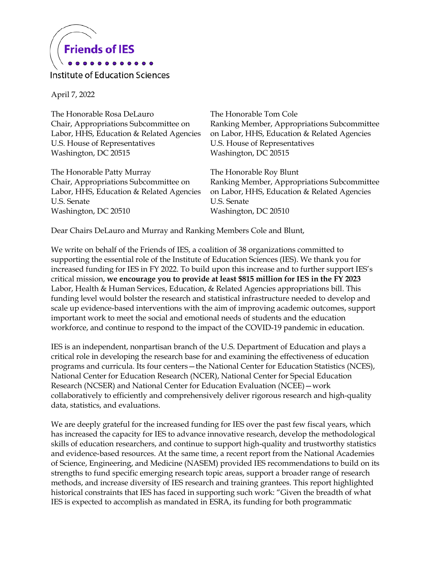

Institute of Education Sciences

April 7, 2022

The Honorable Rosa DeLauro Chair, Appropriations Subcommittee on Labor, HHS, Education & Related Agencies U.S. House of Representatives Washington, DC 20515

The Honorable Patty Murray Chair, Appropriations Subcommittee on Labor, HHS, Education & Related Agencies U.S. Senate Washington, DC 20510

The Honorable Tom Cole Ranking Member, Appropriations Subcommittee on Labor, HHS, Education & Related Agencies U.S. House of Representatives Washington, DC 20515

The Honorable Roy Blunt Ranking Member, Appropriations Subcommittee on Labor, HHS, Education & Related Agencies U.S. Senate Washington, DC 20510

Dear Chairs DeLauro and Murray and Ranking Members Cole and Blunt,

We write on behalf of the Friends of IES, a coalition of 38 organizations committed to supporting the essential role of the Institute of Education Sciences (IES). We thank you for increased funding for IES in FY 2022. To build upon this increase and to further support IES's critical mission, **we encourage you to provide at least \$815 million for IES in the FY 2023** Labor, Health & Human Services, Education, & Related Agencies appropriations bill. This funding level would bolster the research and statistical infrastructure needed to develop and scale up evidence-based interventions with the aim of improving academic outcomes, support important work to meet the social and emotional needs of students and the education workforce, and continue to respond to the impact of the COVID-19 pandemic in education.

IES is an independent, nonpartisan branch of the U.S. Department of Education and plays a critical role in developing the research base for and examining the effectiveness of education programs and curricula. Its four centers—the National Center for Education Statistics (NCES), National Center for Education Research (NCER), National Center for Special Education Research (NCSER) and National Center for Education Evaluation (NCEE)—work collaboratively to efficiently and comprehensively deliver rigorous research and high-quality data, statistics, and evaluations.

We are deeply grateful for the increased funding for IES over the past few fiscal years, which has increased the capacity for IES to advance innovative research, develop the methodological skills of education researchers, and continue to support high-quality and trustworthy statistics and evidence-based resources. At the same time, a recent report from the National Academies of Science, Engineering, and Medicine (NASEM) provided IES recommendations to build on its strengths to fund specific emerging research topic areas, support a broader range of research methods, and increase diversity of IES research and training grantees. This report highlighted historical constraints that IES has faced in supporting such work: "Given the breadth of what IES is expected to accomplish as mandated in ESRA, its funding for both programmatic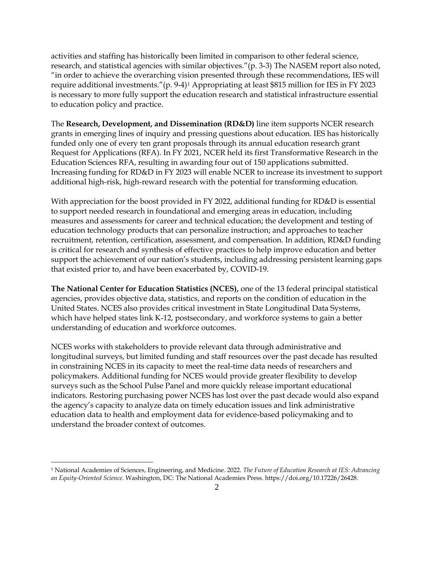activities and staffing has historically been limited in comparison to other federal science, research, and statistical agencies with similar objectives."(p. 3-3) The NASEM report also noted, "in order to achieve the overarching vision presented through these recommendations, IES will require additional investments."(p. 9-4)[1](#page-1-0) Appropriating at least \$815 million for IES in FY 2023 is necessary to more fully support the education research and statistical infrastructure essential to education policy and practice.

The **Research, Development, and Dissemination (RD&D)** line item supports NCER research grants in emerging lines of inquiry and pressing questions about education. IES has historically funded only one of every ten grant proposals through its annual education research grant Request for Applications (RFA). In FY 2021, NCER held its first Transformative Research in the Education Sciences RFA, resulting in awarding four out of 150 applications submitted. Increasing funding for RD&D in FY 2023 will enable NCER to increase its investment to support additional high-risk, high-reward research with the potential for transforming education.

With appreciation for the boost provided in FY 2022, additional funding for RD&D is essential to support needed research in foundational and emerging areas in education, including measures and assessments for career and technical education; the development and testing of education technology products that can personalize instruction; and approaches to teacher recruitment, retention, certification, assessment, and compensation. In addition, RD&D funding is critical for research and synthesis of effective practices to help improve education and better support the achievement of our nation's students, including addressing persistent learning gaps that existed prior to, and have been exacerbated by, COVID-19.

**The National Center for Education Statistics (NCES),** one of the 13 federal principal statistical agencies, provides objective data, statistics, and reports on the condition of education in the United States. NCES also provides critical investment in State Longitudinal Data Systems, which have helped states link K-12, postsecondary, and workforce systems to gain a better understanding of education and workforce outcomes.

NCES works with stakeholders to provide relevant data through administrative and longitudinal surveys, but limited funding and staff resources over the past decade has resulted in constraining NCES in its capacity to meet the real-time data needs of researchers and policymakers. Additional funding for NCES would provide greater flexibility to develop surveys such as the School Pulse Panel and more quickly release important educational indicators. Restoring purchasing power NCES has lost over the past decade would also expand the agency's capacity to analyze data on timely education issues and link administrative education data to health and employment data for evidence-based policymaking and to understand the broader context of outcomes.

l

<span id="page-1-0"></span><sup>1</sup> National Academies of Sciences, Engineering, and Medicine. 2022. *The Future of Education Research at IES: Advancing an Equity-Oriented Science*. Washington, DC: The National Academies Press. https://doi.org/10.17226/26428.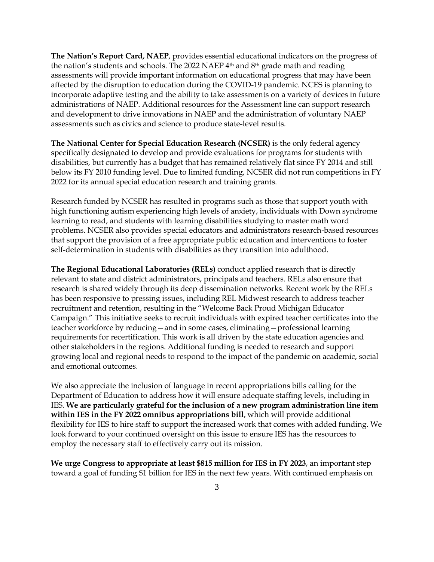**The Nation's Report Card, NAEP**, provides essential educational indicators on the progress of the nation's students and schools. The 2022 NAEP  $4<sup>th</sup>$  and  $8<sup>th</sup>$  grade math and reading assessments will provide important information on educational progress that may have been affected by the disruption to education during the COVID-19 pandemic. NCES is planning to incorporate adaptive testing and the ability to take assessments on a variety of devices in future administrations of NAEP. Additional resources for the Assessment line can support research and development to drive innovations in NAEP and the administration of voluntary NAEP assessments such as civics and science to produce state-level results.

**The National Center for Special Education Research (NCSER)** is the only federal agency specifically designated to develop and provide evaluations for programs for students with disabilities, but currently has a budget that has remained relatively flat since FY 2014 and still below its FY 2010 funding level. Due to limited funding, NCSER did not run competitions in FY 2022 for its annual special education research and training grants.

Research funded by NCSER has resulted in programs such as those that support youth with high functioning autism experiencing high levels of anxiety, individuals with Down syndrome learning to read, and students with learning disabilities studying to master math word problems. NCSER also provides special educators and administrators research-based resources that support the provision of a free appropriate public education and interventions to foster self-determination in students with disabilities as they transition into adulthood.

**The Regional Educational Laboratories (RELs)** conduct applied research that is directly relevant to state and district administrators, principals and teachers. RELs also ensure that research is shared widely through its deep dissemination networks. Recent work by the RELs has been responsive to pressing issues, including REL Midwest research to address teacher recruitment and retention, resulting in the "Welcome Back Proud Michigan Educator Campaign." This initiative seeks to recruit individuals with expired teacher certificates into the teacher workforce by reducing—and in some cases, eliminating—professional learning requirements for recertification. This work is all driven by the state education agencies and other stakeholders in the regions. Additional funding is needed to research and support growing local and regional needs to respond to the impact of the pandemic on academic, social and emotional outcomes.

We also appreciate the inclusion of language in recent appropriations bills calling for the Department of Education to address how it will ensure adequate staffing levels, including in IES. **We are particularly grateful for the inclusion of a new program administration line item within IES in the FY 2022 omnibus appropriations bill**, which will provide additional flexibility for IES to hire staff to support the increased work that comes with added funding. We look forward to your continued oversight on this issue to ensure IES has the resources to employ the necessary staff to effectively carry out its mission.

**We urge Congress to appropriate at least \$815 million for IES in FY 2023**, an important step toward a goal of funding \$1 billion for IES in the next few years. With continued emphasis on